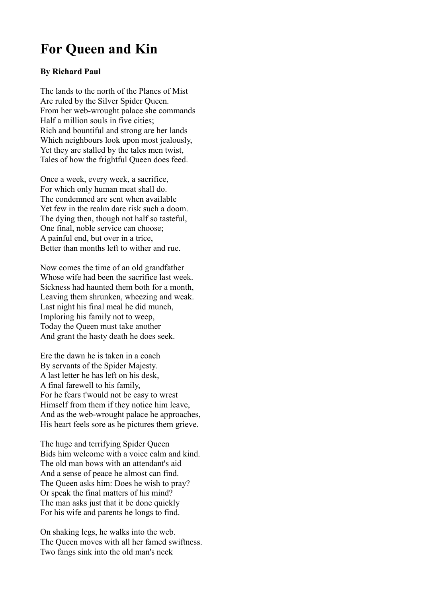## **For Queen and Kin**

## **By Richard Paul**

The lands to the north of the Planes of Mist Are ruled by the Silver Spider Queen. From her web-wrought palace she commands Half a million souls in five cities; Rich and bountiful and strong are her lands Which neighbours look upon most jealously, Yet they are stalled by the tales men twist, Tales of how the frightful Queen does feed.

Once a week, every week, a sacrifice, For which only human meat shall do. The condemned are sent when available Yet few in the realm dare risk such a doom. The dying then, though not half so tasteful, One final, noble service can choose; A painful end, but over in a trice, Better than months left to wither and rue.

Now comes the time of an old grandfather Whose wife had been the sacrifice last week. Sickness had haunted them both for a month, Leaving them shrunken, wheezing and weak. Last night his final meal he did munch, Imploring his family not to weep, Today the Queen must take another And grant the hasty death he does seek.

Ere the dawn he is taken in a coach By servants of the Spider Majesty. A last letter he has left on his desk, A final farewell to his family, For he fears t'would not be easy to wrest Himself from them if they notice him leave, And as the web-wrought palace he approaches, His heart feels sore as he pictures them grieve.

The huge and terrifying Spider Queen Bids him welcome with a voice calm and kind. The old man bows with an attendant's aid And a sense of peace he almost can find. The Queen asks him: Does he wish to pray? Or speak the final matters of his mind? The man asks just that it be done quickly For his wife and parents he longs to find.

On shaking legs, he walks into the web. The Queen moves with all her famed swiftness. Two fangs sink into the old man's neck